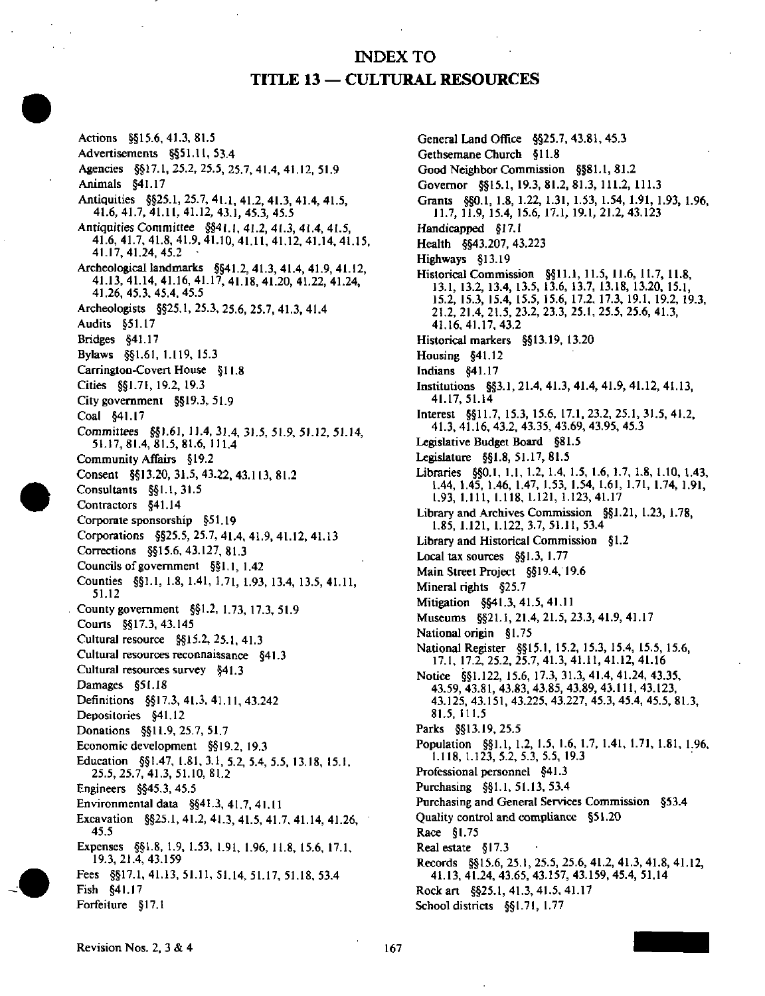## INDEX TO TITLE 13 — CULTURAL RESOURCES

Actions §§15.6,41,3,81.5 Advertisements §§51.11, 53.4 Agencies §§17.1, 25.2, 25.5, 25.7.41.4, 41.12, 51.9 Animals §41.17 Antiquities §§25.1, 25.7, 41.1, 41.2, 41.3, 41.4, 41.5, 41.6, 41.7. 41.11, 41.12, 43.1, 45.3, 45.5 Antiquities Committee §§4|.l, 41.2, 41.3, 41.4, 41.5, 41.6, 41.7, 41.8, 41.9. 41.10, 41.11, 41.12, 41.14. 41.15, Archeological landmarks §§41.2, 41.3, 41.4, 41.9, 41.12, Archeological landmarks §§41.2, 41.3, 41.4, 41.9, 41.12, 41.13, 41.14, 41.16, 41.17, 41.18, 41.20, 41.22, 41.24, 41.26,45.3,45.4,45.5 Archeologists §§25.1, 25.3. 25.6, 25.7, 41.3, 41.4 Audits §51.17 Bridges §41.17 Bylaws §§1.61, 1.119, 15.3 Carrington-Coven House §11.8 Cities §§1.7I, 19.2, 19.3 City government §§19.3. 51.9 Coal §41.17 Committees §§1.61, 11.4, 31.4, 31.5. 51.9, 51.12, 51.14, 51.17,81.4,81.5.81.6, 111.4 Community Affairs §19.2 Consent §§13.20, 31.5, 43.22, 43.113. 81.2 Consultants §§1.1, 31.5 Contractors §41.14 Corporate sponsorship §51.19 Corporations §§25.5, 25.7. 41.4, 41.9, 41.12, 41.13 Corrections §§15.6. 43.127, 81.3 Councils of government §§ 1.1, 1.42 Counties §§1.1, 1.8, 1.41, 1.71, 1.93, 13.4. 13.5,41.11, 51.12 County government §§1.2, 1.73, 17.3, 51.9 Courts §§17.3,43.145 Cultural resource §§15.2. 25.1, 41.3 Cultural resources reconnaissance §41.3 Cultural resources survey §41.3 Damages §51.18 Definitions §§I7.3, 41.3, 41.11, 43.242 Depositories §41.12 Donations §§11.9, 25.7, 51.7 Economic development §§19.2, 19.3 Education §§1.47, 1.81, 3.1, 5.2, 5.4, 5.5, 13.18, 15.1, 25.5,25.7,41.3,51.10, 81.2 Engineers §§45.3, 45.5 Environmental data §§41.3,41.7,41.11 Excavation §§25.1, 41.2, 41.3. 41.5, 41.7. 41.14, 41.26, 45.5 Expenses §§1.8, 1.9, 1.53, 1.91, 1.96, 11.8, 15.6, 17.1, 19.3,21.4,43.159 Fees §§17.1, 41.13, 51.11, 51.14, 51.17, 51.18, 53.4 Fish §41.17 Forfeiture §17.1

General Land Office §§25.7, 43.81, 45.3 Gethsemane Church §11.8 Good Neighbor Commission §§81.1, 81.2 Governor §§15.1, 19.3, 81.2, 81.3, 111.2, 111.3 Grants §§0.1, 1.8, 1.22, 1.31, 1.53, 1.54, 1.91, 1.93, 1.96, 11.7, 11.9, 15.4, 15.6, 17.1, 19.1,21.2,43.123 Handicapped §17.1 Health §§43.207, 43.223 Highways §13.19 Historical Commission §§11.1, 11.5, 11.6, 11.7, 11.8, 13.1. 13.2, 13.4, 13.5, 13.6, 13.7, 13.18, 13.20, 15.1, 15.2, 15.3, 15.4, 15.5, 15.6, 17.2, 17.3, 19.1, 19.2, 19.3, 21.2, 21.4, 21.5, 23.2, 23.3, 25.1, 25.5, 25.6, 41.3, 41.16,41.17,43.2 Historical markers §§13.19, 13.20 Housing §41.12 Indians §41.17 Institutions §§3.1, 21.4, 41.3, 41.4, 41.9, 41.12, 41.13, 41.17,51.14 Interest §§11.7, 15.3, 15.6, 17.1,23.2,25.1,31.5,41.2. 41.3, 41.16, 43.2, 43.35, 43.69, 43.95, 45.3 Legislative Budget Board §81.5 Legislature §§1.8,51.17,81.5 Ubraries §§0.1, 1.1, 1.2, 1.4. 1.5, 1.6, 1.7, L8, I.IO. 1.43, 1.44, 1.45, 1.46, 1.47, 1.53, 1.54, 1.61, 1.71, 1.74, 1.91, Library and Archives Commission §§1.21, 1.23, 1.78, 1.85, 1.121, 1.122, 3.7, 51.11, 53.4 Library and Historical Commission §1.2 Local tax sources  $§§1.3, 1.77$ Main Street Project §§19.4, 19.6 Mineral rights  $§25.7$ Mitigation §§41.3, 41.5, 41.11 Mitigation §§41.3,41.5,41.11.<br>Museums RR11.1,91.4.91.6.9 Museums §§21.1, 21.4, 21.5, 23.5, 11.7, 41.17.<br>Maianalasin \$1.75 National origin §1.75<br>National Register §§15.1, 15.2, 15.3, 15.4, 15.5, 15.6, 17.1, 17.2, 25.2, 25.7, 41.3, 41.11, 41.12, 41.16 Notice §§1.122, 15.6, 17.3, 31.3, 41.4, 41.24, 43.35, 43.59, 43.81, 43.83, 43.85, 43.89, 43.111, 43.123, 43.125, 43.151, 43.225, 43.227, 45.3, 45.4, 45.5, 81.3, 81.5, 111.5 Parks §§13.19, 25.5 Population §§1.1, 1.2, 1.5, 1.6, 1.7, 1.41, 1.71, 1.81, 1.96, 1.118, 1.123, 5.2, 5.3, 5.5, 19.3 Professional personnel §41.3 Purchasing  $\S$ §1.1, 51.13, 53.4 Purchasing and General Services Commission §53.4 Quality control and compliance §51.20 Race  $§1.75$ Real estate  $$17.3$ Records §§15.6, 25.1, 25.5, 25.6, 41.2, 41.3, 41.8, 41.12, 41.13, 41.24, 43.65, 43.157, 43.159, 45.4, 51.14 Rock art §§25.1, 41.3, 41.5, 41.17 School districts  $§§1.71, 1.77$